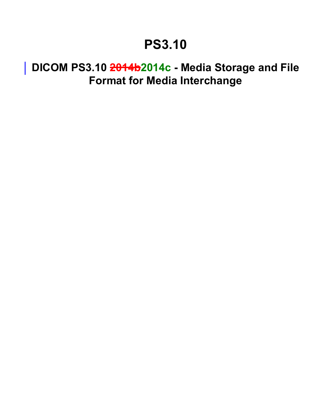## **PS3.10**

## **DICOM PS3.10 2014b2014c - Media Storage and File Format for Media Interchange**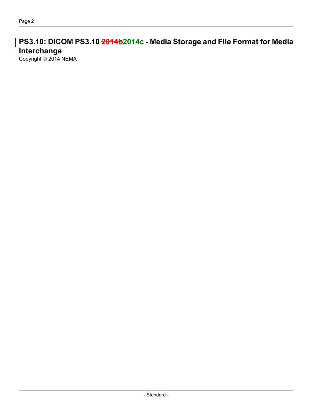**PS3.10: DICOM PS3.10 2014b2014c - Media Storage and File Format for Media Interchange**

Copyright © 2014 NEMA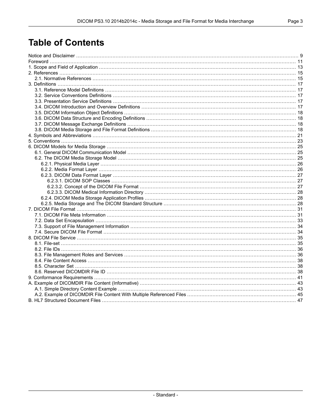### **Table of Contents**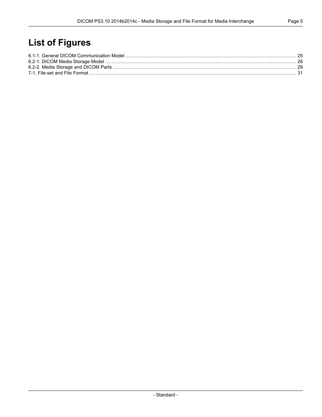### **List of Figures**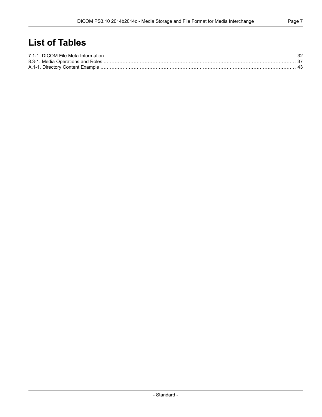### **List of Tables**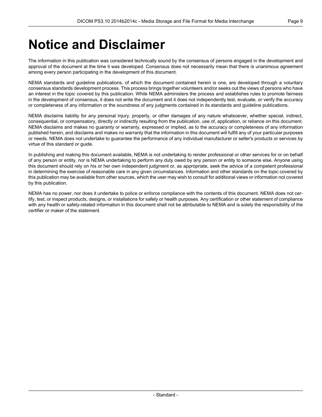## <span id="page-8-0"></span>**Notice and Disclaimer**

The information in this publication was considered technically sound by the consensus of persons engaged in the development and approval of the document at the time it was developed. Consensus does not necessarily mean that there is unanimous agreement among every person participating in the development of this document.

NEMA standards and guideline publications, of which the document contained herein is one, are developed through a voluntary consensus standards development process. This process brings together volunteers and/or seeks out the views of persons who have an interest in the topic covered by this publication. While NEMA administers the process and establishes rules to promote fairness in the development of consensus, it does not write the document and it does not independently test, evaluate, or verify the accuracy or completeness of any information or the soundness of any judgments contained in its standards and guideline publications.

NEMA disclaims liability for any personal injury, property, or other damages of any nature whatsoever, whether special, indirect, consequential, or compensatory, directly or indirectly resulting from the publication, use of, application, or reliance on this document. NEMA disclaims and makes no guaranty or warranty, expressed or implied, as to the accuracy or completeness of any information published herein, and disclaims and makes no warranty that the information in this document will fulfill any of your particular purposes or needs. NEMA does not undertake to guarantee the performance of any individual manufacturer or seller's products or services by virtue of this standard or guide.

In publishing and making this document available, NEMA is not undertaking to render professional or other services for or on behalf of any person or entity, nor is NEMA undertaking to perform any duty owed by any person or entity to someone else. Anyone using this document should rely on his or her own independent judgment or, as appropriate, seek the advice of a competent professional in determining the exercise of reasonable care in any given circumstances. Information and other standards on the topic covered by this publication may be available from other sources, which the user may wish to consult for additional views or information not covered by this publication.

NEMA has no power, nor does it undertake to police or enforce compliance with the contents of this document. NEMA does not certify, test, or inspect products, designs, or installations for safety or health purposes. Any certification or other statement of compliance with any health or safety-related information in this document shall not be attributable to NEMA and is solely the responsibility of the certifier or maker of the statement.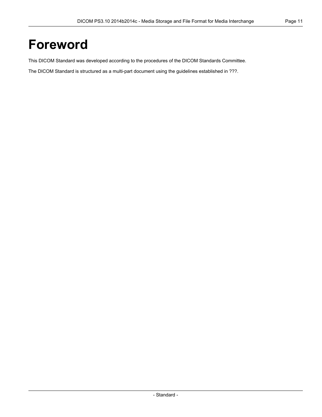## <span id="page-10-0"></span>**Foreword**

This DICOM Standard was developed according to the procedures of the DICOM Standards Committee.

The DICOM Standard is structured as a multi-part document using the guidelines established in ???.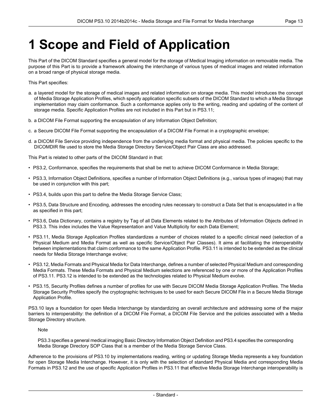# <span id="page-12-0"></span>**1 Scope and Field of Application**

This Part of the DICOM Standard specifies a general model for the storage of Medical Imaging information on removable media. The purpose of this Part is to provide a framework allowing the interchange of various types of medical images and related information on a broad range of physical storage media.

This Part specifies:

- a. a layered model for the storage of medical images and related information on storage media. This model introduces the concept of Media Storage Application Profiles, which specify application specific subsets of the DICOM Standard to which a Media Storage implementation may claim conformance. Such a conformance applies only to the writing, reading and updating of the content of storage media. Specific Application Profiles are not included in this Part but in [PS3.11](part11.pdf#PS3.11);
- b. a DICOM File Format supporting the encapsulation of any Information Object Definition;
- c. a Secure DICOM File Format supporting the encapsulation of a DICOM File Format in a cryptographic envelope;
- d. a DICOM File Service providing independence from the underlying media format and physical media. The policies specific to the DICOMDIR file used to store the Media Storage Directory Service/Object Pair Class are also addressed.

This Part is related to other parts of the DICOM Standard in that:

- [PS3.2](part02.pdf#PS3.2), Conformance, specifies the requirements that shall be met to achieve DICOM Conformance in Media Storage;
- [PS3.3](part03.pdf#PS3.3), Information Object Definitions, specifies a number of Information Object Definitions (e.g., various types of images) that may be used in conjunction with this part;
- [PS3.4](part04.pdf#PS3.4), builds upon this part to define the Media Storage Service Class;
- [PS3.5](part05.pdf#PS3.5), Data Structure and Encoding, addresses the encoding rules necessary to construct a Data Set that is encapsulated in a file as specified in this part;
- [PS3.6](part06.pdf#PS3.6), Data Dictionary, contains a registry by Tag of all Data Elements related to the Attributes of Information Objects defined in [PS3.3](part03.pdf#PS3.3). This index includes the Value Representation and Value Multiplicity for each Data Element;
- [PS3.11](part11.pdf#PS3.11), Media Storage Application Profiles standardizes a number of choices related to a specific clinical need (selection of a Physical Medium and Media Format as well as specific Service/Object Pair Classes). It aims at facilitating the interoperability between implementations that claim conformance to the same Application Profile. [PS3.11](part11.pdf#PS3.11) is intended to be extended as the clinical needs for Media Storage Interchange evolve;
- [PS3.12](part12.pdf#PS3.12), Media Formats and Physical Media for Data Interchange, defines a number of selected Physical Medium and corresponding Media Formats. These Media Formats and Physical Medium selections are referenced by one or more of the Application Profiles of [PS3.11](part11.pdf#PS3.11). [PS3.12](part12.pdf#PS3.12) is intended to be extended as the technologies related to Physical Medium evolve.
- [PS3.15](part15.pdf#PS3.15), Security Profiles defines a number of profiles for use with Secure DICOM Media Storage Application Profiles. The Media Storage Security Profiles specify the cryptographic techniques to be used for each Secure DICOM File in a Secure Media Storage Application Profile.

PS3.10 lays a foundation for open Media Interchange by standardizing an overall architecture and addressing some of the major barriers to interoperability: the definition of a DICOM File Format, a DICOM File Service and the policies associated with a Media Storage Directory structure.

Note

[PS3.3](part03.pdf#PS3.3) specifies a general medical imaging Basic Directory Information Object Definition and [PS3.4](part04.pdf#PS3.4) specifies the corresponding Media Storage Directory SOP Class that is a member of the Media Storage Service Class.

Adherence to the provisions of PS3.10 by implementations reading, writing or updating Storage Media represents a key foundation for open Storage Media Interchange. However, it is only with the selection of standard Physical Media and corresponding Media Formats in [PS3.12](part12.pdf#PS3.12) and the use of specific Application Profiles in [PS3.11](part11.pdf#PS3.11) that effective Media Storage Interchange interoperability is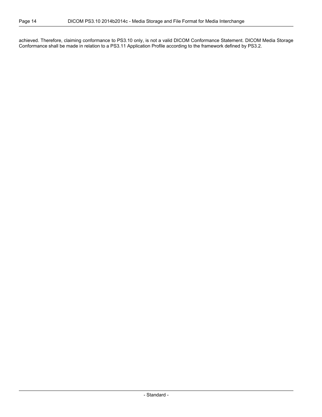achieved. Therefore, claiming conformance to PS3.10 only, is not a valid DICOM Conformance Statement. DICOM Media Storage Conformance shall be made in relation to a [PS3.11](part11.pdf#PS3.11) Application Profile according to the framework defined by [PS3.2.](part02.pdf#PS3.2)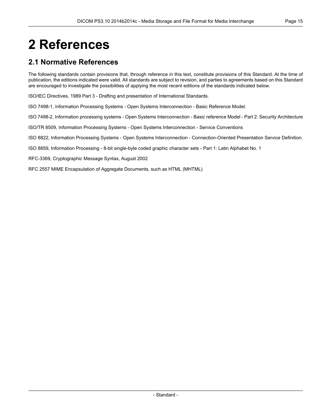# <span id="page-14-0"></span>**2 References**

### <span id="page-14-1"></span>**2.1 Normative References**

The following standards contain provisions that, through reference in this text, constitute provisions of this Standard. At the time of publication, the editions indicated were valid. All standards are subject to revision, and parties to agreements based on this Standard are encouraged to investigate the possibilities of applying the most recent editions of the standards indicated below.

ISO/IEC Directives, 1989 Part 3 - Drafting and presentation of International Standards.

ISO 7498-1, Information Processing Systems - Open Systems Interconnection - Basic Reference Model.

ISO 7498-2, Information processing systems - Open Systems Interconnection - Basic reference Model - Part 2: Security Architecture

ISO/TR 8509, Information Processing Systems - Open Systems Interconnection - Service Conventions

ISO 8822, Information Processing Systems - Open Systems Interconnection - Connection-Oriented Presentation Service Definition.

ISO 8859, Information Processing - 8-bit single-byte coded graphic character sets - Part 1: Latin Alphabet No. 1

RFC-3369, Cryptographic Message Syntax, August 2002

RFC 2557 MIME Encapsulation of Aggregate Documents, such as HTML (MHTML)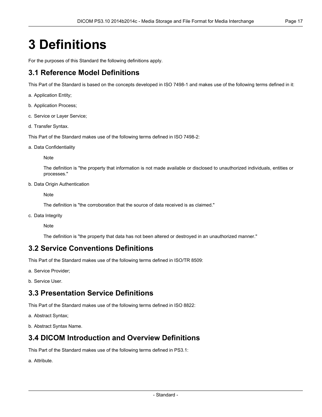# <span id="page-16-0"></span>**3 Definitions**

<span id="page-16-1"></span>For the purposes of this Standard the following definitions apply.

### **3.1 Reference Model Definitions**

This Part of the Standard is based on the concepts developed in ISO 7498-1 and makes use of the following terms defined in it:

- a. Application Entity;
- b. Application Process;
- c. Service or Layer Service;
- d. Transfer Syntax.

This Part of the Standard makes use of the following terms defined in ISO 7498-2:

a. Data Confidentiality

Note

The definition is "the property that information is not made available or disclosed to unauthorized individuals, entities or processes."

b. Data Origin Authentication

**Note** 

The definition is "the corroboration that the source of data received is as claimed."

<span id="page-16-2"></span>c. Data Integrity

Note

The definition is "the property that data has not been altered or destroyed in an unauthorized manner."

#### **3.2 Service Conventions Definitions**

<span id="page-16-3"></span>This Part of the Standard makes use of the following terms defined in ISO/TR 8509:

a. Service Provider;

b. Service User.

#### **3.3 Presentation Service Definitions**

<span id="page-16-4"></span>This Part of the Standard makes use of the following terms defined in ISO 8822:

- a. Abstract Syntax;
- b. Abstract Syntax Name.

#### **3.4 DICOM Introduction and Overview Definitions**

This Part of the Standard makes use of the following terms defined in [PS3.1:](part01.pdf#PS3.1)

a. Attribute.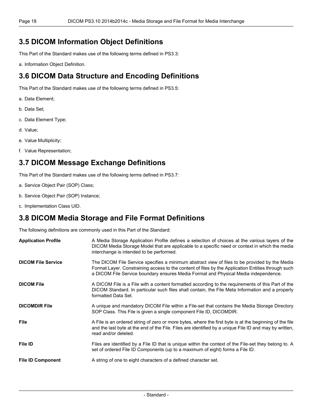#### <span id="page-17-0"></span>**3.5 DICOM Information Object Definitions**

This Part of the Standard makes use of the following terms defined in [PS3.3:](part03.pdf#PS3.3)

<span id="page-17-1"></span>a. Information Object Definition.

### **3.6 DICOM Data Structure and Encoding Definitions**

This Part of the Standard makes use of the following terms defined in [PS3.5:](part05.pdf#PS3.5)

- a. Data Element;
- b. Data Set;
- c. Data Element Type;
- d. Value;
- <span id="page-17-2"></span>e. Value Multiplicity;
- f. Value Representation;

### **3.7 DICOM Message Exchange Definitions**

This Part of the Standard makes use of the following terms defined in [PS3.7:](part07.pdf#PS3.7)

- a. Service Object Pair (SOP) Class;
- <span id="page-17-3"></span>b. Service Object Pair (SOP) Instance;
- c. Implementation Class UID.

#### **3.8 DICOM Media Storage and File Format Definitions**

The following definitions are commonly used in this Part of the Standard:

| <b>Application Profile</b> | A Media Storage Application Profile defines a selection of choices at the various layers of the<br>DICOM Media Storage Model that are applicable to a specific need or context in which the media<br>interchange is intended to be performed.                                              |
|----------------------------|--------------------------------------------------------------------------------------------------------------------------------------------------------------------------------------------------------------------------------------------------------------------------------------------|
| <b>DICOM File Service</b>  | The DICOM File Service specifies a minimum abstract view of files to be provided by the Media<br>Format Layer. Constraining access to the content of files by the Application Entities through such<br>a DICOM File Service boundary ensures Media Format and Physical Media independence. |
| <b>DICOM File</b>          | A DICOM File is a File with a content formatted according to the requirements of this Part of the<br>DICOM Standard. In particular such files shall contain, the File Meta Information and a properly<br>formatted Data Set.                                                               |
| <b>DICOMDIR File</b>       | A unique and mandatory DICOM File within a File-set that contains the Media Storage Directory<br>SOP Class. This File is given a single component File ID, DICOMDIR.                                                                                                                       |
| <b>File</b>                | A File is an ordered string of zero or more bytes, where the first byte is at the beginning of the file<br>and the last byte at the end of the File. Files are identified by a unique File ID and may by written,<br>read and/or deleted.                                                  |
| <b>File ID</b>             | Files are identified by a File ID that is unique within the context of the File-set they belong to. A<br>set of ordered File ID Components (up to a maximum of eight) forms a File ID.                                                                                                     |
| <b>File ID Component</b>   | A string of one to eight characters of a defined character set.                                                                                                                                                                                                                            |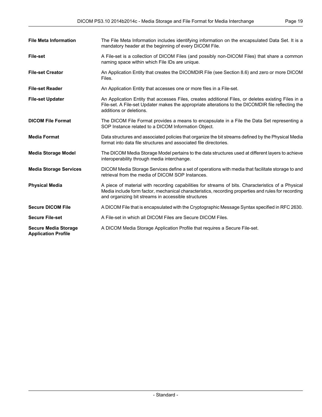| <b>File Meta Information</b>                              | The File Meta Information includes identifying information on the encapsulated Data Set. It is a<br>mandatory header at the beginning of every DICOM File.                                                                                                       |
|-----------------------------------------------------------|------------------------------------------------------------------------------------------------------------------------------------------------------------------------------------------------------------------------------------------------------------------|
| <b>File-set</b>                                           | A File-set is a collection of DICOM Files (and possibly non-DICOM Files) that share a common<br>naming space within which File IDs are unique.                                                                                                                   |
| <b>File-set Creator</b>                                   | An Application Entity that creates the DICOMDIR File (see Section 8.6) and zero or more DICOM<br>Files.                                                                                                                                                          |
| <b>File-set Reader</b>                                    | An Application Entity that accesses one or more files in a File-set.                                                                                                                                                                                             |
| <b>File-set Updater</b>                                   | An Application Entity that accesses Files, creates additional Files, or deletes existing Files in a<br>File-set. A File-set Updater makes the appropriate alterations to the DICOMDIR file reflecting the<br>additions or deletions.                             |
| <b>DICOM File Format</b>                                  | The DICOM File Format provides a means to encapsulate in a File the Data Set representing a<br>SOP Instance related to a DICOM Information Object.                                                                                                               |
| <b>Media Format</b>                                       | Data structures and associated policies that organize the bit streams defined by the Physical Media<br>format into data file structures and associated file directories.                                                                                         |
| <b>Media Storage Model</b>                                | The DICOM Media Storage Model pertains to the data structures used at different layers to achieve<br>interoperability through media interchange.                                                                                                                 |
| <b>Media Storage Services</b>                             | DICOM Media Storage Services define a set of operations with media that facilitate storage to and<br>retrieval from the media of DICOM SOP Instances.                                                                                                            |
| <b>Physical Media</b>                                     | A piece of material with recording capabilities for streams of bits. Characteristics of a Physical<br>Media include form factor, mechanical characteristics, recording properties and rules for recording<br>and organizing bit streams in accessible structures |
| <b>Secure DICOM File</b>                                  | A DICOM File that is encapsulated with the Cryptographic Message Syntax specified in RFC 2630.                                                                                                                                                                   |
| <b>Secure File-set</b>                                    | A File-set in which all DICOM Files are Secure DICOM Files.                                                                                                                                                                                                      |
| <b>Secure Media Storage</b><br><b>Application Profile</b> | A DICOM Media Storage Application Profile that requires a Secure File-set.                                                                                                                                                                                       |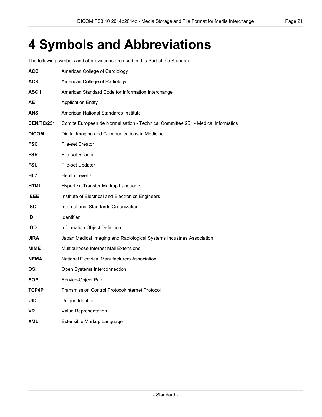# <span id="page-20-0"></span>**4 Symbols and Abbreviations**

The following symbols and abbreviations are used in this Part of the Standard.

| ACC               | American College of Cardiology                                                   |
|-------------------|----------------------------------------------------------------------------------|
| <b>ACR</b>        | American College of Radiology                                                    |
| <b>ASCII</b>      | American Standard Code for Information Interchange                               |
| AЕ                | <b>Application Entity</b>                                                        |
| ANSI              | American National Standards Institute                                            |
| <b>CEN/TC/251</b> | Comite Europeen de Normalisation - Technical Committee 251 - Medical Informatics |
| <b>DICOM</b>      | Digital Imaging and Communications in Medicine                                   |
| <b>FSC</b>        | <b>File-set Creator</b>                                                          |
| <b>FSR</b>        | File-set Reader                                                                  |
| <b>FSU</b>        | File-set Updater                                                                 |
| HL7               | Health Level 7                                                                   |
| <b>HTML</b>       | Hypertext Transfer Markup Language                                               |
| <b>IEEE</b>       | Institute of Electrical and Electronics Engineers                                |
| <b>ISO</b>        | International Standards Organization                                             |
| ID                | <b>Identifier</b>                                                                |
| <b>IOD</b>        | Information Object Definition                                                    |
| <b>JIRA</b>       | Japan Medical Imaging and Radiological Systems Industries Association            |
| MIME              | Multipurpose Internet Mail Extensions                                            |
| <b>NEMA</b>       | National Electrical Manufacturers Association                                    |
| OSI               | Open Systems Interconnection                                                     |
| <b>SOP</b>        | Service-Object Pair                                                              |
| <b>TCP/IP</b>     | <b>Transmission Control Protocol/Internet Protocol</b>                           |
| <b>UID</b>        | Unique Identifier                                                                |
| VR                | Value Representation                                                             |
| XML               | Extensible Markup Language                                                       |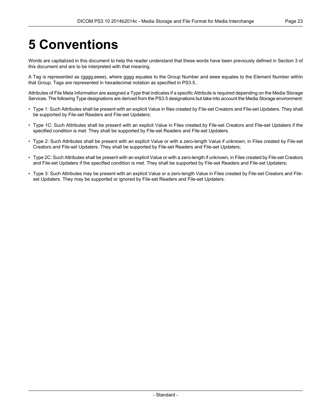# <span id="page-22-0"></span>**5 Conventions**

Words are capitalized in this document to help the reader understand that these words have been previously defined in Section 3 of this document and are to be interpreted with that meaning.

A Tag is represented as (gggg,eeee), where gggg equates to the Group Number and eeee equates to the Element Number within that Group. Tags are represented in hexadecimal notation as specified in [PS3.5.](part05.pdf#PS3.5).

Attributes of File Meta Information are assigned a Type that indicates if a specific Attribute is required depending on the Media Storage Services. The following Type designations are derived from the [PS3.5](part05.pdf#PS3.5) designations but take into account the Media Storage environment:

- Type 1: Such Attributes shall be present with an explicit Value in files created by File-set Creators and File-set Updaters. They shall be supported by File-set Readers and File-set Updaters;
- Type 1C: Such Attributes shall be present with an explicit Value in Files created by File-set Creators and File-set Updaters if the specified condition is met. They shall be supported by File-set Readers and File-set Updaters.
- Type 2: Such Attributes shall be present with an explicit Value or with a zero-length Value if unknown, in Files created by File-set Creators and File-set Updaters. They shall be supported by File-set Readers and File-set Updaters;
- Type 2C: Such Attributes shall be present with an explicit Value or with a zero-length if unknown, in Files created by File-set Creators and File-set Updaters if the specified condition is met. They shall be supported by File-set Readers and File-set Updaters;
- Type 3: Such Attributes may be present with an explicit Value or a zero-length Value in Files created by File-set Creators and Fileset Updaters. They may be supported or ignored by File-set Readers and File-set Updaters.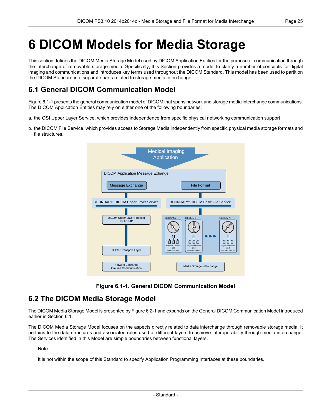# <span id="page-24-0"></span>**6 DICOM Models for Media Storage**

This section defines the DICOM Media Storage Model used by DICOM Application Entities for the purpose of communication through the interchange of removable storage media. Specifically, this Section provides a model to clarify a number of concepts for digital imaging and communications and introduces key terms used throughout the DICOM Standard. This model has been used to partition the DICOM Standard into separate parts related to storage media interchange.

### <span id="page-24-1"></span>**6.1 General DICOM Communication Model**

[Figure](#page-24-3) 6.1-1 presents the general communication model of DICOM that spans network and storage media interchange communications. The DICOM Application Entities may rely on either one of the following boundaries:

- a. the OSI Upper Layer Service, which provides independence from specific physical networking communication support
- <span id="page-24-3"></span>b. the DICOM File Service, which provides access to Storage Media independently from specific physical media storage formats and file structures.



**Figure 6.1-1. General DICOM Communication Model**

### <span id="page-24-2"></span>**6.2 The DICOM Media Storage Model**

The DICOM Media Storage Model is presented by [Figure](#page-25-2) 6.2-1 and expands on the General DICOM Communication Model introduced earlier in [Section](#page-24-1) 6.1.

The DICOM Media Storage Model focuses on the aspects directly related to data interchange through removable storage media. It pertains to the data structures and associated rules used at different layers to achieve interoperability through media interchange. The Services identified in this Model are simple boundaries between functional layers.

#### **Note**

It is not within the scope of this Standard to specify Application Programming Interfaces at these boundaries.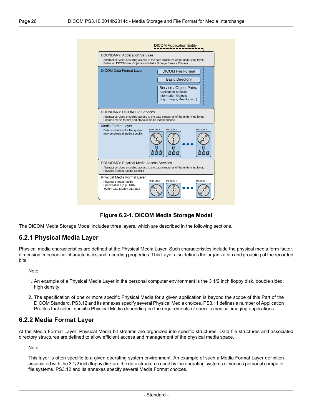<span id="page-25-2"></span>



<span id="page-25-0"></span>The DICOM Media Storage Model includes three layers, which are described in the following sections.

#### **6.2.1 Physical Media Layer**

Physical media characteristics are defined at the Physical Media Layer. Such characteristics include the physical media form factor, dimension, mechanical characteristics and recording properties. This Layer also defines the organization and grouping of the recorded bits.

Note

- <span id="page-25-1"></span>1. An example of a Physical Media Layer in the personal computer environment is the 3 1/2 inch floppy disk, double sided, high density.
- 2. The specification of one or more specific Physical Media for a given application is beyond the scope of this Part of the DICOM Standard. [PS3.12](part12.pdf#PS3.12) and its annexes specify several Physical Media choices. [PS3.11](part11.pdf#PS3.11) defines a number of Application Profiles that select specific Physical Media depending on the requirements of specific medical imaging applications.

#### **6.2.2 Media Format Layer**

At the Media Format Layer, Physical Media bit streams are organized into specific structures. Data file structures and associated directory structures are defined to allow efficient access and management of the physical media space.

**Note** 

This layer is often specific to a given operating system environment. An example of such a Media Format Layer definition associated with the 3 1/2 inch floppy disk are the data structures used by the operating systems of various personal computer file systems. [PS3.12](part12.pdf#PS3.12) and its annexes specify several Media Format choices.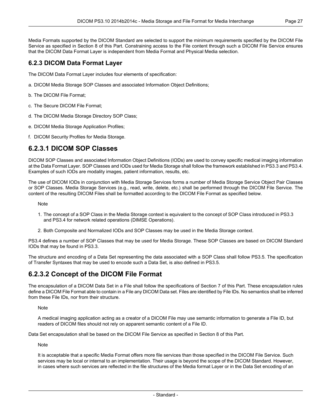Media Formats supported by the DICOM Standard are selected to support the minimum requirements specified by the DICOM File Service as specified in Section 8 of this Part. Constraining access to the File content through such a DICOM File Service ensures that the DICOM Data Format Layer is independent from Media Format and Physical Media selection.

#### <span id="page-26-0"></span>**6.2.3 DICOM Data Format Layer**

The DICOM Data Format Layer includes four elements of specification:

- a. DICOM Media Storage SOP Classes and associated Information Object Definitions;
- b. The DICOM File Format;
- c. The Secure DICOM File Format;
- d. The DICOM Media Storage Directory SOP Class;
- <span id="page-26-1"></span>e. DICOM Media Storage Application Profiles;
- f. DICOM Security Profiles for Media Storage.

#### **6.2.3.1 DICOM SOP Classes**

DICOM SOP Classes and associated Information Object Definitions (IODs) are used to convey specific medical imaging information at the Data Format Layer. SOP Classes and IODs used for Media Storage shall follow the framework established in [PS3.3](part03.pdf#PS3.3) and [PS3.4.](part04.pdf#PS3.4) Examples of such IODs are modality images, patient information, results, etc.

The use of DICOM IODs in conjunction with Media Storage Services forms a number of Media Storage Service Object Pair Classes or SOP Classes. Media Storage Services (e.g., read, write, delete, etc.) shall be performed through the DICOM File Service. The content of the resulting DICOM Files shall be formatted according to the DICOM File Format as specified below.

Note

- 1. The concept of a SOP Class in the Media Storage context is equivalent to the concept of SOP Class introduced in [PS3.3](part03.pdf#PS3.3) and [PS3.4](part04.pdf#PS3.4) for network related operations (DIMSE Operations).
- 2. Both Composite and Normalized IODs and SOP Classes may be used in the Media Storage context.

<span id="page-26-2"></span>[PS3.4](part04.pdf#PS3.4) defines a number of SOP Classes that may be used for Media Storage. These SOP Classes are based on DICOM Standard IODs that may be found in [PS3.3](part03.pdf#PS3.3).

The structure and encoding of a Data Set representing the data associated with a SOP Class shall follow [PS3.5.](part05.pdf#PS3.5) The specification of Transfer Syntaxes that may be used to encode such a Data Set, is also defined in [PS3.5.](part05.pdf#PS3.5)

#### **6.2.3.2 Concept of the DICOM File Format**

The encapsulation of a DICOM Data Set in a File shall follow the specifications of Section 7 of this Part. These encapsulation rules define a DICOM File Format able to contain in a File any DICOM Data set. Files are identified by File IDs. No semantics shall be inferred from these File IDs, nor from their structure.

**Note** 

A medical imaging application acting as a creator of a DICOM File may use semantic information to generate a File ID, but readers of DICOM files should not rely on apparent semantic content of a File ID.

Data Set encapsulation shall be based on the DICOM File Service as specified in Section 8 of this Part.

**Note** 

It is acceptable that a specific Media Format offers more file services than those specified in the DICOM File Service. Such services may be local or internal to an implementation. Their usage is beyond the scope of the DICOM Standard. However, in cases where such services are reflected in the file structures of the Media format Layer or in the Data Set encoding of an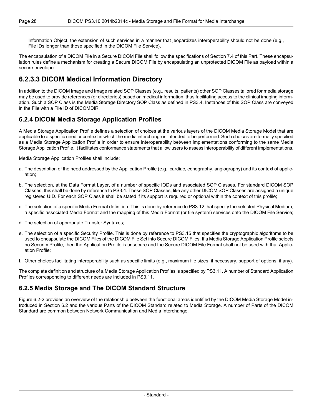Information Object, the extension of such services in a manner that jeopardizes interoperability should not be done (e.g., File IDs longer than those specified in the DICOM File Service).

<span id="page-27-0"></span>The encapsulation of a DICOM File in a Secure DICOM File shall follow the specifications of [Section](#page-33-1) 7.4 of this Part. These encapsulation rules define a mechanism for creating a Secure DICOM File by encapsulating an unprotected DICOM File as payload within a secure envelope.

#### **6.2.3.3 DICOM Medical Information Directory**

<span id="page-27-1"></span>In addition to the DICOM Image and Image related SOP Classes (e.g., results, patients) other SOP Classes tailored for media storage may be used to provide references (or directories) based on medical information, thus facilitating access to the clinical imaging information. Such a SOP Class is the Media Storage Directory SOP Class as defined in [PS3.4](part04.pdf#PS3.4). Instances of this SOP Class are conveyed in the File with a File ID of DICOMDIR.

#### **6.2.4 DICOM Media Storage Application Profiles**

A Media Storage Application Profile defines a selection of choices at the various layers of the DICOM Media Storage Model that are applicable to a specific need or context in which the media interchange is intended to be performed. Such choices are formally specified as a Media Storage Application Profile in order to ensure interoperability between implementations conforming to the same Media Storage Application Profile. It facilitates conformance statements that allow users to assess interoperability of different implementations.

Media Storage Application Profiles shall include:

- a. The description of the need addressed by the Application Profile (e.g., cardiac, echography, angiography) and its context of application;
- b. The selection, at the Data Format Layer, of a number of specific IODs and associated SOP Classes. For standard DICOM SOP Classes, this shall be done by reference to [PS3.4.](part04.pdf#PS3.4) These SOP Classes, like any other DICOM SOP Classes are assigned a unique registered UID. For each SOP Class it shall be stated if its support is required or optional within the context of this profile;
- c. The selection of a specific Media Format definition. This is done by reference to [PS3.12](part12.pdf#PS3.12) that specify the selected Physical Medium, a specific associated Media Format and the mapping of this Media Format (or file system) services onto the DICOM File Service;
- d. The selection of appropriate Transfer Syntaxes;
- e. The selection of a specific Security Profile. This is done by reference to [PS3.15](part15.pdf#PS3.15) that specifies the cryptographic algorithms to be used to encapsulate the DICOM Files of the DICOM File Set into Secure DICOM Files. If a Media Storage Application Profile selects no Security Profile, then the Application Profile is unsecure and the Secure DICOM File Format shall not be used with that Application Profile;
- <span id="page-27-2"></span>f. Other choices facilitating interoperability such as specific limits (e.g., maximum file sizes, if necessary, support of options, if any).

The complete definition and structure of a Media Storage Application Profiles is specified by [PS3.11](part11.pdf#PS3.11). A number of Standard Application Profiles corresponding to different needs are included in [PS3.11](part11.pdf#PS3.11).

#### **6.2.5 Media Storage and The DICOM Standard Structure**

[Figure](#page-28-0) 6.2-2 provides an overview of the relationship between the functional areas identified by the DICOM Media Storage Model introduced in [Section](#page-24-2) 6.2 and the various Parts of the DICOM Standard related to Media Storage. A number of Parts of the DICOM Standard are common between Network Communication and Media Interchange.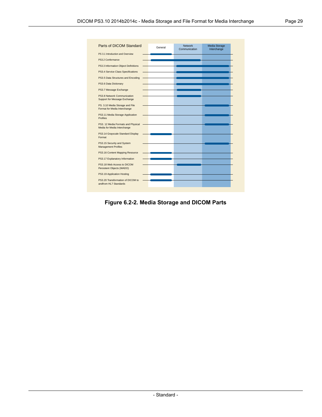<span id="page-28-0"></span>

| Parts of DICOM Standard                                           |         | <b>Network</b> | Media Storage |
|-------------------------------------------------------------------|---------|----------------|---------------|
|                                                                   | General | Communication  | Interchange   |
| PS 3.1 Introduction and Overview                                  |         |                |               |
| PS3.2 Conformance                                                 |         |                |               |
| PS3.3 Information Object Definitions                              |         |                |               |
| PS3.4 Service Class Specifications                                |         |                |               |
| PS3.5 Data Structures and Encoding                                |         |                |               |
| PS3.6 Data Dictionary                                             |         |                |               |
| PS3.7 Message Exchange                                            |         |                |               |
| PS3.8 Network Communication<br>Support for Message Exchange       |         |                |               |
| PS. 3.10 Media Storage and File<br>Format for Media Interchange   |         |                |               |
| PS3.11 Media Storage Application<br><b>Profiles</b>               |         |                |               |
| PS3. 12 Media Formats and Physical<br>Media for Media Interchange |         |                |               |
| PS3.14 Grayscale Standard Display<br>Format                       |         |                |               |
| PS3.15 Security and System<br><b>Management Profiles</b>          |         |                |               |
| PS3.16 Content Mapping Resource                                   |         |                |               |
| PS3.17 Explanatory Information                                    |         |                |               |
| PS3.18 Web Access to DICOM<br>Persistent Objects (WADO)           |         |                |               |
| PS3.19 Application Hosting                                        |         |                |               |
| PS3.20 Transformation of DICOM to<br>andfrom HL7 Standards        |         |                |               |

**Figure 6.2-2. Media Storage and DICOM Parts**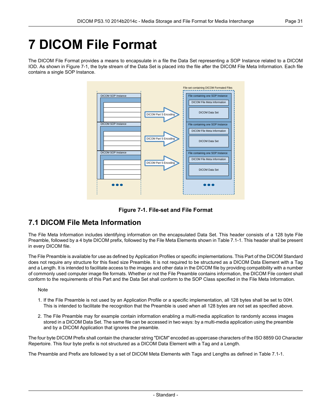# <span id="page-30-0"></span>**7 DICOM File Format**

<span id="page-30-2"></span>The DICOM File Format provides a means to encapsulate in a file the Data Set representing a SOP Instance related to a DICOM IOD. As shown in [Figure](#page-30-2) 7-1, the byte stream of the Data Set is placed into the file after the DICOM File Meta Information. Each file contains a single SOP Instance.





### <span id="page-30-1"></span>**7.1 DICOM File Meta Information**

The File Meta Information includes identifying information on the encapsulated Data Set. This header consists of a 128 byte File Preamble, followed by a 4 byte DICOM prefix, followed by the File Meta Elements shown in [Table](#page-31-0) 7.1-1. This header shall be present in every DICOM file.

The File Preamble is available for use as defined by Application Profiles or specific implementations. This Part of the DICOM Standard does not require any structure for this fixed size Preamble. It is not required to be structured as a DICOM Data Element with a Tag and a Length. It is intended to facilitate access to the images and other data in the DICOM file by providing compatibility with a number of commonly used computer image file formats. Whether or not the File Preamble contains information, the DICOM File content shall conform to the requirements of this Part and the Data Set shall conform to the SOP Class specified in the File Meta Information.

#### **Note**

- 1. If the File Preamble is not used by an Application Profile or a specific implementation, all 128 bytes shall be set to 00H. This is intended to facilitate the recognition that the Preamble is used when all 128 bytes are not set as specified above.
- 2. The File Preamble may for example contain information enabling a multi-media application to randomly access images stored in a DICOM Data Set. The same file can be accessed in two ways: by a multi-media application using the preamble and by a DICOM Application that ignores the preamble.

The four byte DICOM Prefix shall contain the character string "DICM" encoded as uppercase characters of the ISO 8859 G0 Character Repertoire. This four byte prefix is not structured as a DICOM Data Element with a Tag and a Length.

The Preamble and Prefix are followed by a set of DICOM Meta Elements with Tags and Lengths as defined in [Table](#page-31-0) 7.1-1.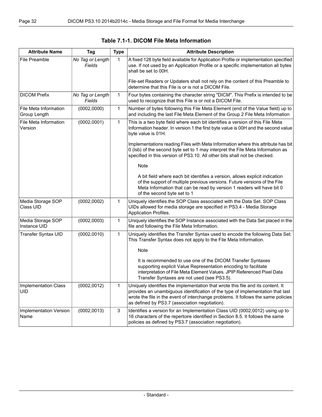<span id="page-31-0"></span>

| <b>Attribute Name</b>                 | Tag                        | <b>Type</b> | <b>Attribute Description</b>                                                                                                                                                                                                                                                                             |
|---------------------------------------|----------------------------|-------------|----------------------------------------------------------------------------------------------------------------------------------------------------------------------------------------------------------------------------------------------------------------------------------------------------------|
| File Preamble                         | No Tag or Length<br>Fields | 1           | A fixed 128 byte field available for Application Profile or implementation specified<br>use. If not used by an Application Profile or a specific implementation all bytes<br>shall be set to 00H.                                                                                                        |
|                                       |                            |             | File-set Readers or Updaters shall not rely on the content of this Preamble to<br>determine that this File is or is not a DICOM File.                                                                                                                                                                    |
| <b>DICOM Prefix</b>                   | No Tag or Length<br>Fields | 1           | Four bytes containing the character string "DICM". This Prefix is intended to be<br>used to recognize that this File is or not a DICOM File.                                                                                                                                                             |
| File Meta Information<br>Group Length | (0002,0000)                | 1           | Number of bytes following this File Meta Element (end of the Value field) up to<br>and including the last File Meta Element of the Group 2 File Meta Information                                                                                                                                         |
| File Meta Information<br>Version      | (0002,0001)                | 1           | This is a two byte field where each bit identifies a version of this File Meta<br>Information header. In version 1 the first byte value is 00H and the second value<br>byte value is 01H.                                                                                                                |
|                                       |                            |             | Implementations reading Files with Meta Information where this attribute has bit<br>0 (Isb) of the second byte set to 1 may interpret the File Meta Information as<br>specified in this version of PS3.10. All other bits shall not be checked.                                                          |
|                                       |                            |             | Note                                                                                                                                                                                                                                                                                                     |
|                                       |                            |             | A bit field where each bit identifies a version, allows explicit indication<br>of the support of multiple previous versions. Future versions of the File<br>Meta Information that can be read by version 1 readers will have bit 0<br>of the second byte set to 1                                        |
| Media Storage SOP<br>Class UID        | (0002, 0002)               | 1           | Uniquely identifies the SOP Class associated with the Data Set. SOP Class<br>UIDs allowed for media storage are specified in PS3.4 - Media Storage<br><b>Application Profiles.</b>                                                                                                                       |
| Media Storage SOP<br>Instance UID     | (0002, 0003)               | 1           | Uniquely identifies the SOP Instance associated with the Data Set placed in the<br>file and following the File Meta Information.                                                                                                                                                                         |
| Transfer Syntax UID                   | (0002, 0010)               | 1           | Uniquely identifies the Transfer Syntax used to encode the following Data Set.<br>This Transfer Syntax does not apply to the File Meta Information.                                                                                                                                                      |
|                                       |                            |             | <b>Note</b>                                                                                                                                                                                                                                                                                              |
|                                       |                            |             | It is recommended to use one of the DICOM Transfer Syntaxes<br>supporting explicit Value Representation encoding to facilitate<br>interpretation of File Meta Element Values. JPIP Referenced Pixel Data<br>Transfer Syntaxes are not used (see PS3.5).                                                  |
| Implementation Class<br><b>UID</b>    | (0002, 0012)               | 1           | Uniquely identifies the implementation that wrote this file and its content. It<br>provides an unambiguous identification of the type of implementation that last<br>wrote the file in the event of interchange problems. It follows the same policies<br>as defined by PS3.7 (association negotiation). |
| Implementation Version<br>Name        | (0002, 0013)               | 3           | Identifies a version for an Implementation Class UID (0002,0012) using up to<br>16 characters of the repertoire identified in Section 8.5. It follows the same<br>policies as defined by PS3.7 (association negotiation).                                                                                |

**Table 7.1-1. DICOM File Meta Information**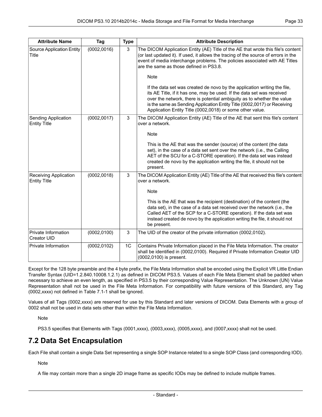| <b>Attribute Name</b>                        | Tag          | <b>Type</b> | <b>Attribute Description</b>                                                                                                                                                                                                                                                                                                                                          |
|----------------------------------------------|--------------|-------------|-----------------------------------------------------------------------------------------------------------------------------------------------------------------------------------------------------------------------------------------------------------------------------------------------------------------------------------------------------------------------|
| Source Application Entity<br><b>Title</b>    | (0002, 0016) | 3           | The DICOM Application Entity (AE) Title of the AE that wrote this file's content<br>(or last updated it). If used, it allows the tracing of the source of errors in the<br>event of media interchange problems. The policies associated with AE Titles<br>are the same as those defined in PS3.8.                                                                     |
|                                              |              |             | <b>Note</b>                                                                                                                                                                                                                                                                                                                                                           |
|                                              |              |             | If the data set was created de novo by the application writing the file,<br>its AE Title, if it has one, may be used. If the data set was received<br>over the network, there is potential ambiguity as to whether the value<br>is the same as Sending Application Entity Title (0002,0017) or Receiving<br>Application Entity Title (0002,0018) or some other value. |
| Sending Application<br><b>Entity Title</b>   | (0002, 0017) | 3           | The DICOM Application Entity (AE) Title of the AE that sent this file's content<br>over a network.                                                                                                                                                                                                                                                                    |
|                                              |              |             | <b>Note</b>                                                                                                                                                                                                                                                                                                                                                           |
|                                              |              |             | This is the AE that was the sender (source) of the content (the data<br>set), in the case of a data set sent over the network (i.e., the Calling<br>AET of the SCU for a C-STORE operation). If the data set was instead<br>created de novo by the application writing the file, it should not be<br>present.                                                         |
| Receiving Application<br><b>Entity Title</b> | (0002, 0018) | 3           | The DICOM Application Entity (AE) Title of the AE that received this file's content<br>over a network.                                                                                                                                                                                                                                                                |
|                                              |              |             | Note                                                                                                                                                                                                                                                                                                                                                                  |
|                                              |              |             | This is the AE that was the recipient (destination) of the content (the<br>data set), in the case of a data set received over the network (i.e., the<br>Called AET of the SCP for a C-STORE operation). If the data set was<br>instead created de novo by the application writing the file, it should not<br>be present.                                              |
| Private Information<br>Creator UID           | (0002, 0100) | 3           | The UID of the creator of the private information (0002,0102).                                                                                                                                                                                                                                                                                                        |
| Private Information                          | (0002, 0102) | 1C          | Contains Private Information placed in the File Meta Information. The creator<br>shall be identified in (0002,0100). Required if Private Information Creator UID<br>(0002,0100) is present.                                                                                                                                                                           |

Except for the 128 byte preamble and the 4 byte prefix, the File Meta Information shall be encoded using the Explicit VR Little Endian Transfer Syntax (UID=1.2.840.10008.1.2.1) as defined in DICOM [PS3.5](part05.pdf#PS3.5). Values of each File Meta Element shall be padded when necessary to achieve an even length, as specified in [PS3.5](part05.pdf#PS3.5) by their corresponding Value Representation. The Unknown (UN) Value Representation shall not be used in the File Meta Information. For compatibility with future versions of this Standard, any Tag (0002,xxxx) not defined in [Table](#page-31-0) 7.1-1 shall be ignored.

<span id="page-32-0"></span>Values of all Tags (0002,xxxx) are reserved for use by this Standard and later versions of DICOM. Data Elements with a group of 0002 shall not be used in data sets other than within the File Meta Information.

**Note** 

[PS3.5](part05.pdf#PS3.5) specifies that Elements with Tags (0001,xxxx), (0003,xxxx), (0005,xxxx), and (0007,xxxx) shall not be used.

### **7.2 Data Set Encapsulation**

Each File shall contain a single Data Set representing a single SOP Instance related to a single SOP Class (and corresponding IOD).

**Note** 

A file may contain more than a single 2D image frame as specific IODs may be defined to include multiple frames.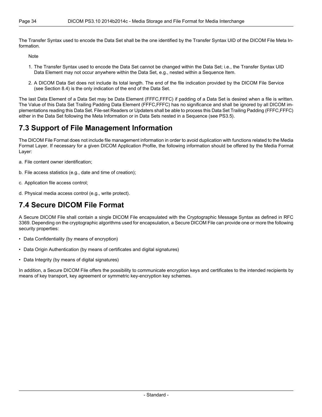The Transfer Syntax used to encode the Data Set shall be the one identified by the Transfer Syntax UID of the DICOM File Meta Information.

Note

- 1. The Transfer Syntax used to encode the Data Set cannot be changed within the Data Set; i.e., the Transfer Syntax UID Data Element may not occur anywhere within the Data Set, e.g., nested within a Sequence Item.
- 2. A DICOM Data Set does not include its total length. The end of the file indication provided by the DICOM File Service (see [Section](#page-37-0) 8.4) is the only indication of the end of the Data Set.

<span id="page-33-0"></span>The last Data Element of a Data Set may be Data Element (FFFC,FFFC) if padding of a Data Set is desired when a file is written. The Value of this Data Set Trailing Padding Data Element (FFFC,FFFC) has no significance and shall be ignored by all DICOM implementations reading this Data Set. File-set Readers or Updaters shall be able to process this Data Set Trailing Padding (FFFC,FFFC) either in the Data Set following the Meta Information or in Data Sets nested in a Sequence (see [PS3.5](part05.pdf#PS3.5)).

### **7.3 Support of File Management Information**

The DICOM File Format does not include file management information in order to avoid duplication with functions related to the Media Format Layer. If necessary for a given DICOM Application Profile, the following information should be offered by the Media Format Layer:

- a. File content owner identification;
- b. File access statistics (e.g., date and time of creation);
- <span id="page-33-1"></span>c. Application file access control;
- d. Physical media access control (e.g., write protect).

#### **7.4 Secure DICOM File Format**

A Secure DICOM File shall contain a single DICOM File encapsulated with the Cryptographic Message Syntax as defined in RFC 3369. Depending on the cryptographic algorithms used for encapsulation, a Secure DICOM File can provide one or more the following security properties:

- Data Confidentiality (by means of encryption)
- Data Origin Authentication (by means of certificates and digital signatures)
- Data Integrity (by means of digital signatures)

In addition, a Secure DICOM File offers the possibility to communicate encryption keys and certificates to the intended recipients by means of key transport, key agreement or symmetric key-encryption key schemes.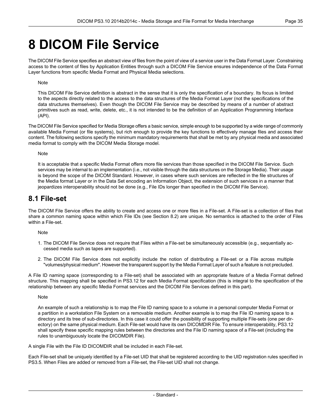# <span id="page-34-0"></span>**8 DICOM File Service**

The DICOM File Service specifies an abstract view of files from the point of view of a service user in the Data Format Layer. Constraining access to the content of files by Application Entities through such a DICOM File Service ensures independence of the Data Format Layer functions from specific Media Format and Physical Media selections.

#### Note

This DICOM File Service definition is abstract in the sense that it is only the specification of a boundary. Its focus is limited to the aspects directly related to the access to the data structures of the Media Format Layer (not the specifications of the data structures themselves). Even though the DICOM File Service may be described by means of a number of abstract primitives such as read, write, delete, etc., it is not intended to be the definition of an Application Programming Interface (API).

The DICOM File Service specified for Media Storage offers a basic service, simple enough to be supported by a wide range of commonly available Media Format (or file systems), but rich enough to provide the key functions to effectively manage files and access their content. The following sections specify the minimum mandatory requirements that shall be met by any physical media and associated media format to comply with the DICOM Media Storage model.

#### **Note**

<span id="page-34-1"></span>It is acceptable that a specific Media Format offers more file services than those specified in the DICOM File Service. Such services may be internal to an implementation (i.e., not visible through the data structures on the Storage Media). Their usage is beyond the scope of the DICOM Standard. However, in cases where such services are reflected in the file structures of the Media format Layer or in the Data Set encoding an Information Object, the extension of such services in a manner that jeopardizes interoperability should not be done (e.g., File IDs longer than specified in the DICOM File Service).

#### **8.1 File-set**

The DICOM File Service offers the ability to create and access one or more files in a File-set. A File-set is a collection of files that share a common naming space within which File IDs (see [Section](#page-35-0) 8.2) are unique. No semantics is attached to the order of Files within a File-set.

Note

- 1. The DICOM File Service does not require that Files within a File-set be simultaneously accessible (e.g., sequentially accessed media such as tapes are supported).
- 2. The DICOM File Service does not explicitly include the notion of distributing a File-set or a File across multiple "volumes/physical medium". However the transparent support by the Media Format Layer of such a feature is not precluded.

A File ID naming space (corresponding to a File-set) shall be associated with an appropriate feature of a Media Format defined structure. This mapping shall be specified in [PS3.12](part12.pdf#PS3.12) for each Media Format specification (this is integral to the specification of the relationship between any specific Media Format services and the DICOM File Services defined in this part).

#### Note

An example of such a relationship is to map the File ID naming space to a volume in a personal computer Media Format or a partition in a workstation File System on a removable medium. Another example is to map the File ID naming space to a directory and its tree of sub-directories. In this case it could offer the possibility of supporting multiple File-sets (one per directory) on the same physical medium. Each File-set would have its own DICOMDIR File. To ensure interoperability, [PS3.12](part12.pdf#PS3.12) shall specify these specific mapping rules between the directories and the File ID naming space of a File-set (including the rules to unambiguously locate the DICOMDIR File).

A single File with the File ID DICOMDIR shall be included in each File-set.

Each File-set shall be uniquely identified by a File-set UID that shall be registered according to the UID registration rules specified in [PS3.5](part05.pdf#PS3.5). When Files are added or removed from a File-set, the File-set UID shall not change.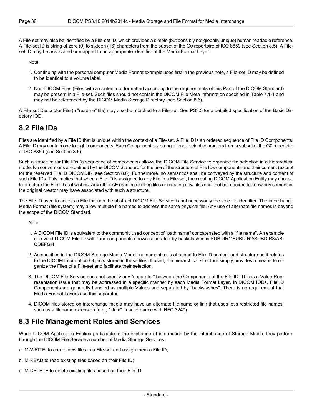A File-set may also be identified by a File-set ID, which provides a simple (but possibly not globally unique) human readable reference. A File-set ID is string of zero (0) to sixteen (16) characters from the subset of the G0 repertoire of ISO 8859 (see [Section](#page-37-1) 8.5). A Fileset ID may be associated or mapped to an appropriate identifier at the Media Format Layer.

Note

- 1. Continuing with the personal computer Media Format example used first in the previous note, a File-set ID may be defined to be identical to a volume label.
- 2. Non-DICOM Files (Files with a content not formatted according to the requirements of this Part of the DICOM Standard) may be present in a File-set. Such files should not contain the DICOM File Meta Information specified in [Table](#page-31-0) 7.1-1 and may not be referenced by the DICOM Media Storage Directory (see [Section](#page-37-2) 8.6).

<span id="page-35-0"></span>A File-set Descriptor File (a "readme" file) may also be attached to a File-set. See [PS3.3](part03.pdf#PS3.3) for a detailed specification of the Basic Directory IOD.

### **8.2 File IDs**

Files are identified by a File ID that is unique within the context of a File-set. A File ID is an ordered sequence of File ID Components. A File ID may contain one to eight components. Each Component is a string of one to eight characters from a subset of the G0 repertoire of ISO 8859 (see [Section](#page-37-1) 8.5)

Such a structure for File IDs (a sequence of components) allows the DICOM File Service to organize file selection in a hierarchical mode. No conventions are defined by the DICOM Standard for the use of the structure of File IDs components and their content (except for the reserved File ID DICOMDIR, see [Section](#page-37-2) 8.6). Furthermore, no semantics shall be conveyed by the structure and content of such File IDs. This implies that when a File ID is assigned to any File in a File-set, the creating DICOM Application Entity may choose to structure the File ID as it wishes. Any other AE reading existing files or creating new files shall not be required to know any semantics the original creator may have associated with such a structure.

The File ID used to access a File through the abstract DICOM File Service is not necessarily the sole file identifier. The interchange Media Format (file system) may allow multiple file names to address the same physical file. Any use of alternate file names is beyond the scope of the DICOM Standard.

**Note** 

- 1. A DICOM File ID is equivalent to the commonly used concept of "path name" concatenated with a "file name". An example of a valid DICOM File ID with four components shown separated by backslashes is:SUBDIR1\SUBDIR2\SUBDIR3\AB-CDEFGH
- 2. As specified in the DICOM Storage Media Model, no semantics is attached to File ID content and structure as it relates to the DICOM Information Objects stored in these files. If used, the hierarchical structure simply provides a means to organize the Files of a File-set and facilitate their selection.
- <span id="page-35-1"></span>3. The DICOM File Service does not specify any "separator" between the Components of the File ID. This is a Value Representation issue that may be addressed in a specific manner by each Media Format Layer. In DICOM IODs, File ID Components are generally handled as multiple Values and separated by "backslashes". There is no requirement that Media Format Layers use this separator.
- 4. DICOM files stored on interchange media may have an alternate file name or link that uses less restricted file names, such as a filename extension (e.g., ".dcm" in accordance with RFC 3240).

#### **8.3 File Management Roles and Services**

When DICOM Application Entities participate in the exchange of information by the interchange of Storage Media, they perform through the DICOM File Service a number of Media Storage Services:

- a. M-WRITE, to create new files in a File-set and assign them a File ID;
- b. M-READ to read existing files based on their File ID;
- c. M-DELETE to delete existing files based on their File ID;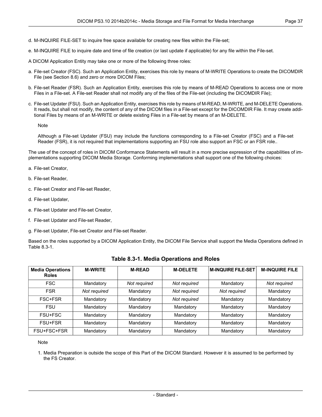- d. M-INQUIRE FILE-SET to inquire free space available for creating new files within the File-set;
- e. M-INQUIRE FILE to inquire date and time of file creation (or last update if applicable) for any file within the File-set.
- A DICOM Application Entity may take one or more of the following three roles:
- a. File-set Creator (FSC). Such an Application Entity, exercises this role by means of M-WRITE Operations to create the DICOMDIR File (see [Section](#page-37-2) 8.6) and zero or more DICOM Files;
- b. File-set Reader (FSR). Such an Application Entity, exercises this role by means of M-READ Operations to access one or more Files in a File-set. A File-set Reader shall not modify any of the files of the File-set (including the DICOMDIR File);
- c. File-set Updater (FSU). Such an Application Entity, exercises this role by means of M-READ, M-WRITE, and M-DELETE Operations. It reads, but shall not modify, the content of any of the DICOM files in a File-set except for the DICOMDIR File. It may create additional Files by means of an M-WRITE or delete existing Files in a File-set by means of an M-DELETE.

Note

Although a File-set Updater (FSU) may include the functions corresponding to a File-set Creator (FSC) and a File-set Reader (FSR), it is not required that implementations supporting an FSU role also support an FSC or an FSR role..

The use of the concept of roles in DICOM Conformance Statements will result in a more precise expression of the capabilities of implementations supporting DICOM Media Storage. Conforming implementations shall support one of the following choices:

- a. File-set Creator,
- b. File-set Reader,
- c. File-set Creator and File-set Reader,
- d. File-set Updater,
- e. File-set Updater and File-set Creator,
- f. File-set Updater and File-set Reader,
- <span id="page-36-0"></span>g. File-set Updater, File-set Creator and File-set Reader.

Based on the roles supported by a DICOM Application Entity, the DICOM File Service shall support the Media Operations defined in [Table](#page-36-0) 8.3-1.

| <b>Media Operations</b><br><b>Roles</b> | <b>M-WRITE</b> | <b>M-READ</b> | <b>M-DELETE</b> | <b>M-INQUIRE FILE-SET</b> | <b>M-INQUIRE FILE</b> |
|-----------------------------------------|----------------|---------------|-----------------|---------------------------|-----------------------|
| <b>FSC</b>                              | Mandatory      | Not required  | Not required    | Mandatory                 | Not required          |
| <b>FSR</b>                              | Not required   | Mandatory     | Not required    | Not required              | Mandatory             |
| FSC+FSR                                 | Mandatory      | Mandatory     | Not required    | Mandatory                 | Mandatory             |
| <b>FSU</b>                              | Mandatory      | Mandatory     | Mandatory       | Mandatory                 | Mandatory             |
| FSU+FSC                                 | Mandatory      | Mandatory     | Mandatory       | Mandatory                 | Mandatory             |
| FSU+FSR                                 | Mandatory      | Mandatory     | Mandatory       | Mandatory                 | Mandatory             |
| FSU+FSC+FSR                             | Mandatory      | Mandatory     | Mandatory       | Mandatory                 | Mandatory             |

|  |  | Table 8.3-1. Media Operations and Roles |  |
|--|--|-----------------------------------------|--|
|--|--|-----------------------------------------|--|

Note

1. Media Preparation is outside the scope of this Part of the DICOM Standard. However it is assumed to be performed by the FS Creator.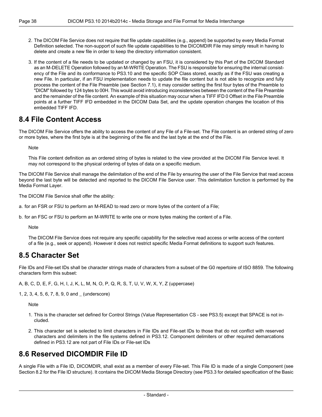- 2. The DICOM File Service does not require that file update capabilities (e.g., append) be supported by every Media Format Definition selected. The non-support of such file update capabilities to the DICOMDIR File may simply result in having to delete and create a new file in order to keep the directory information consistent.
- 3. If the content of a file needs to be updated or changed by an FSU, it is considered by this Part of the DICOM Standard as an M-DELETE Operation followed by an M-WRITE Operation. The FSU is responsible for ensuring the internal consistency of the File and its conformance to PS3.10 and the specific SOP Class stored, exactly as if the FSU was creating a new File. In particular, if an FSU implementation needs to update the file content but is not able to recognize and fully process the content of the File Preamble (see [Section](#page-30-1) 7.1), it may consider setting the first four bytes of the Preamble to "DICM" followed by 124 bytes to 00H. This would avoid introducing inconsistencies between the content of the File Preamble and the remainder of the file content. An example of this situation may occur when a TIFF IFD 0 Offset in the File Preamble points at a further TIFF IFD embedded in the DICOM Data Set, and the update operation changes the location of this embedded TIFF IFD.

#### <span id="page-37-0"></span>**8.4 File Content Access**

The DICOM File Service offers the ability to access the content of any File of a File-set. The File content is an ordered string of zero or more bytes, where the first byte is at the beginning of the file and the last byte at the end of the File.

**Note** 

This File content definition as an ordered string of bytes is related to the view provided at the DICOM File Service level. It may not correspond to the physical ordering of bytes of data on a specific medium.

The DICOM File Service shall manage the delimitation of the end of the File by ensuring the user of the File Service that read access beyond the last byte will be detected and reported to the DICOM File Service user. This delimitation function is performed by the Media Format Layer.

The DICOM File Service shall offer the ability:

- a. for an FSR or FSU to perform an M-READ to read zero or more bytes of the content of a File;
- <span id="page-37-1"></span>b. for an FSC or FSU to perform an M-WRITE to write one or more bytes making the content of a File.

Note

The DICOM File Service does not require any specific capability for the selective read access or write access of the content of a file (e.g., seek or append). However it does not restrict specific Media Format definitions to support such features.

#### **8.5 Character Set**

File IDs and File-set IDs shall be character strings made of characters from a subset of the G0 repertoire of ISO 8859. The following characters form this subset:

A, B, C, D, E, F, G, H, I, J, K, L, M, N, O, P, Q, R, S, T, U, V, W, X, Y, Z (uppercase)

1, 2, 3, 4, 5, 6, 7, 8, 9, 0 and \_ (underscore)

Note

- <span id="page-37-2"></span>1. This is the character set defined for Control Strings (Value Representation CS - see [PS3.5\)](part05.pdf#PS3.5) except that SPACE is not included.
- 2. This character set is selected to limit characters in File IDs and File-set IDs to those that do not conflict with reserved characters and delimiters in the file systems defined in [PS3.12](part12.pdf#PS3.12). Component delimiters or other required demarcations defined in [PS3.12](part12.pdf#PS3.12) are not part of File IDs or File-set IDs

### **8.6 Reserved DICOMDIR File ID**

A single File with a File ID, DICOMDIR, shall exist as a member of every File-set. This File ID is made of a single Component (see [Section](#page-35-0) 8.2 for the File ID structure). It contains the DICOM Media Storage Directory (see [PS3.3](part03.pdf#PS3.3) for detailed specification of the Basic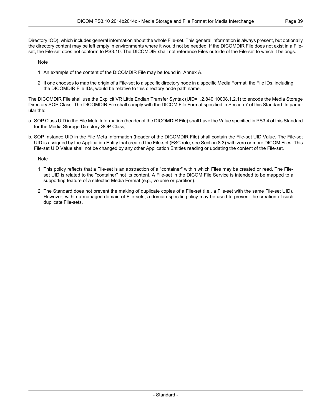Note

- 1. An example of the content of the DICOMDIR File may be found in [Annex](#page-42-0) A.
- 2. If one chooses to map the origin of a File-set to a specific directory node in a specific Media Format, the File IDs, including the DICOMDIR File IDs, would be relative to this directory node path name.

The DICOMDIR File shall use the Explicit VR Little Endian Transfer Syntax (UID=1.2.840.10008.1.2.1) to encode the Media Storage Directory SOP Class. The DICOMDIR File shall comply with the DICOM File Format specified in Section 7 of this Standard. In particular the:

- a. SOP Class UID in the File Meta Information (header of the DICOMDIR File) shall have the Value specified in [PS3.4](part04.pdf#PS3.4) of this Standard for the Media Storage Directory SOP Class;
- b. SOP Instance UID in the File Meta Information (header of the DICOMDIR File) shall contain the File-set UID Value. The File-set UID is assigned by the Application Entity that created the File-set (FSC role, see [Section](#page-35-1) 8.3) with zero or more DICOM Files. This File-set UID Value shall not be changed by any other Application Entities reading or updating the content of the File-set.

Note

- 1. This policy reflects that a File-set is an abstraction of a "container" within which Files may be created or read. The Fileset UID is related to the "container" not its content. A File-set in the DICOM File Service is intended to be mapped to a supporting feature of a selected Media Format (e.g., volume or partition).
- 2. The Standard does not prevent the making of duplicate copies of a File-set (i.e., a File-set with the same File-set UID). However, within a managed domain of File-sets, a domain specific policy may be used to prevent the creation of such duplicate File-sets.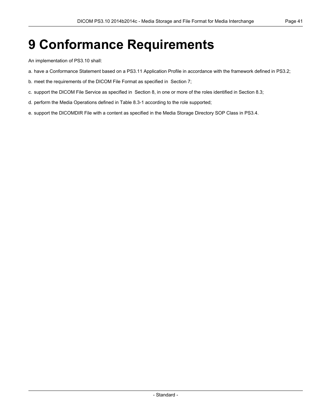# <span id="page-40-0"></span>**9 Conformance Requirements**

An implementation of PS3.10 shall:

- a. have a Conformance Statement based on a [PS3.11](part11.pdf#PS3.11) Application Profile in accordance with the framework defined in [PS3.2](part02.pdf#PS3.2);
- b. meet the requirements of the DICOM File Format as specified in [Section](#page-30-0) 7;
- c. support the DICOM File Service as specified in [Section](#page-34-0) 8, in one or more of the roles identified in [Section](#page-35-1) 8.3;
- d. perform the Media Operations defined in [Table](#page-36-0) 8.3-1 according to the role supported;
- e. support the DICOMDIR File with a content as specified in the Media Storage Directory SOP Class in [PS3.4.](part04.pdf#PS3.4)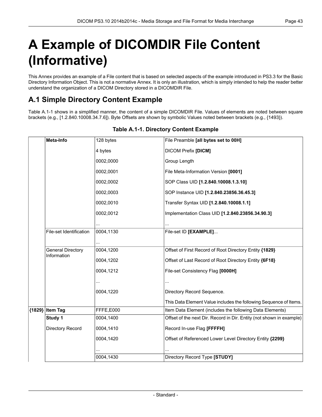# <span id="page-42-0"></span>**A Example of DICOMDIR File Content (Informative)**

<span id="page-42-1"></span>This Annex provides an example of a File content that is based on selected aspects of the example introduced in [PS3.3](part03.pdf#PS3.3) for the Basic Directory Information Object. This is not a normative Annex. It is only an illustration, which is simply intended to help the reader better understand the organization of a DICOM Directory stored in a DICOMDIR File.

### **A.1 Simple Directory Content Example**

<span id="page-42-2"></span>[Table](#page-42-2) A.1-1 shows in a simplified manner, the content of a simple DICOMDIR File. Values of elements are noted between square brackets (e.g., [1.2.840.10008.34.7.6]). Byte Offsets are shown by symbolic Values noted between brackets (e.g., {1493}).

| Meta-Info                               | 128 bytes | File Preamble <b>[all bytes set to 00H]</b>                          |
|-----------------------------------------|-----------|----------------------------------------------------------------------|
|                                         | 4 bytes   | <b>DICOM Prefix [DICM]</b>                                           |
|                                         | 0002,0000 | Group Length                                                         |
|                                         | 0002,0001 | File Meta-Information Version [0001]                                 |
|                                         | 0002.0002 | SOP Class UID [1.2.840.10008.1.3.10]                                 |
|                                         | 0002,0003 | SOP Instance UID [1.2.840.23856.36.45.3]                             |
|                                         | 0002,0010 | Transfer Syntax UID [1.2.840.10008.1.1]                              |
|                                         | 0002,0012 | Implementation Class UID [1.2.840.23856.34.90.3]                     |
|                                         |           |                                                                      |
| File-set Identification                 | 0004,1130 | File-set ID [EXAMPLE]                                                |
|                                         |           |                                                                      |
| <b>General Directory</b><br>Information | 0004,1200 | Offset of First Record of Root Directory Entity {1829}               |
|                                         | 0004,1202 | Offset of Last Record of Root Directory Entity {6F18}                |
|                                         | 0004,1212 | File-set Consistency Flag [0000H]                                    |
|                                         |           |                                                                      |
|                                         | 0004,1220 | Directory Record Sequence.                                           |
|                                         |           | This Data Element Value includes the following Sequence of Items.    |
| {1829} Item Tag                         | FFFE,E000 | Item Data Element (includes the following Data Elements)             |
| Study 1                                 | 0004,1400 | Offset of the next Dir. Record in Dir. Entity (not shown in example) |
| Directory Record                        | 0004,1410 | Record In-use Flag [FFFFH]                                           |
|                                         | 0004,1420 | Offset of Referenced Lower Level Directory Entity {2299}             |
|                                         |           |                                                                      |
|                                         | 0004,1430 | Directory Record Type [STUDY]                                        |

#### **Table A.1-1. Directory Content Example**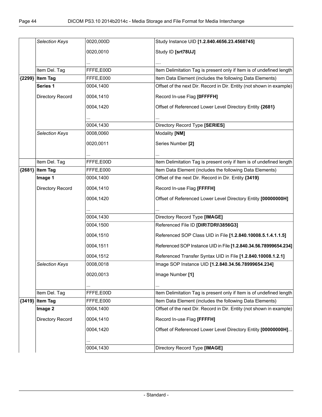|          | Selection Keys    | 0020,000D | Study Instance UID [1.2.840.4656.23.4568745]                         |
|----------|-------------------|-----------|----------------------------------------------------------------------|
|          |                   | 0020,0010 | Study ID [srt78UJ]                                                   |
|          |                   |           |                                                                      |
|          |                   |           |                                                                      |
|          | Item Del. Tag     | FFFE,E00D | Item Delimitation Tag is present only if Item is of undefined length |
| ${2299}$ | <b>Item Tag</b>   | FFFE,E000 | Item Data Element (includes the following Data Elements)             |
|          | Series 1          | 0004,1400 | Offset of the next Dir. Record in Dir. Entity (not shown in example) |
|          | Directory Record  | 0004,1410 | Record In-use Flag [OFFFFH]                                          |
|          |                   | 0004,1420 | Offset of Referenced Lower Level Directory Entity {2681}             |
|          |                   |           |                                                                      |
|          |                   | 0004,1430 | Directory Record Type [SERIES]                                       |
|          | Selection Keys    | 0008,0060 | Modality [NM]                                                        |
|          |                   | 0020,0011 | Series Number [2]                                                    |
|          |                   |           |                                                                      |
|          | Item Del. Tag     | FFFE,E00D | Item Delimitation Tag is present only if Item is of undefined length |
|          | ${2681}$ Item Tag | FFFE,E000 | Item Data Element (includes the following Data Elements)             |
|          | Image 1           | 0004,1400 | Offset of the next Dir. Record in Dir. Entity {3419}                 |
|          |                   |           |                                                                      |
|          | Directory Record  | 0004,1410 | Record In-use Flag [FFFFH]                                           |
|          |                   | 0004,1420 | Offset of Referenced Lower Level Directory Entity [00000000H]        |
|          |                   |           |                                                                      |
|          |                   | 0004,1430 | Directory Record Type [IMAGE]                                        |
|          |                   | 0004,1500 | Referenced File ID [DIR\TDRI\3856G3]                                 |
|          |                   | 0004,1510 | Referenced SOP Class UID in File [1.2.840.10008.5.1.4.1.1.5]         |
|          |                   | 0004,1511 | Referenced SOP Instance UID in File [1.2.840.34.56.78999654.234]     |
|          |                   | 0004,1512 | Referenced Transfer Syntax UID in File [1.2.840.10008.1.2.1]         |
|          | Selection Keys    | 0008,0018 | Image SOP Instance UID [1.2.840.34.56.78999654.234]                  |
|          |                   | 0020,0013 | Image Number [1]                                                     |
|          |                   |           |                                                                      |
|          | Item Del. Tag     | FFFE,E00D | Item Delimitation Tag is present only if Item is of undefined length |
|          | {3419} Item Tag   | FFFE,E000 | Item Data Element (includes the following Data Elements)             |
|          | Image 2           | 0004,1400 | Offset of the next Dir. Record in Dir. Entity (not shown in example) |
|          | Directory Record  | 0004,1410 | Record In-use Flag [FFFFH]                                           |
|          |                   |           |                                                                      |
|          |                   | 0004,1420 | Offset of Referenced Lower Level Directory Entity [00000000H]        |
|          |                   |           |                                                                      |
|          |                   | 0004,1430 | Directory Record Type [IMAGE]                                        |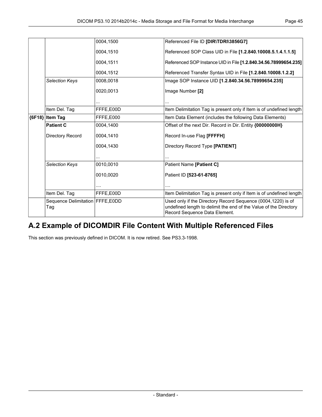|          |                                           | 0004,1500 | Referenced File ID [DIR\TDRI\3856G7]                                                                                                                               |
|----------|-------------------------------------------|-----------|--------------------------------------------------------------------------------------------------------------------------------------------------------------------|
|          |                                           | 0004.1510 | Referenced SOP Class UID in File [1.2.840.10008.5.1.4.1.1.5]                                                                                                       |
|          |                                           | 0004,1511 | Referenced SOP Instance UID in File [1.2.840.34.56.78999654.235]                                                                                                   |
|          |                                           | 0004,1512 | Referenced Transfer Syntax UID in File [1.2.840.10008.1.2.2]                                                                                                       |
|          | <b>Selection Keys</b>                     | 0008,0018 | Image SOP Instance UID [1.2.840.34.56.78999654.235]                                                                                                                |
|          |                                           | 0020,0013 | Image Number [2]                                                                                                                                                   |
|          |                                           |           |                                                                                                                                                                    |
|          | Item Del. Tag                             | FFFE,E00D | Item Delimitation Tag is present only if Item is of undefined length                                                                                               |
| ${6F18}$ | <b>Item Tag</b>                           | FFFE,E000 | Item Data Element (includes the following Data Elements)                                                                                                           |
|          | <b>Patient C</b>                          | 0004.1400 | Offset of the next Dir. Record in Dir. Entity {00000000H}                                                                                                          |
|          | Directory Record                          | 0004,1410 | Record In-use Flag [FFFFH]                                                                                                                                         |
|          |                                           | 0004,1430 | Directory Record Type [PATIENT]                                                                                                                                    |
|          |                                           |           |                                                                                                                                                                    |
|          | <b>Selection Keys</b>                     | 0010,0010 | Patient Name [Patient C]                                                                                                                                           |
|          |                                           | 0010.0020 | Patient ID [523-61-8765]                                                                                                                                           |
|          |                                           | .         | .                                                                                                                                                                  |
|          | Item Del. Tag                             | FFFE.E00D | Item Delimitation Tag is present only if Item is of undefined length                                                                                               |
|          | Sequence Delimitation   FFFE, E0DD<br>Tag |           | Used only if the Directory Record Sequence (0004,1220) is of<br>undefined length to delimit the end of the Value of the Directory<br>Record Sequence Data Element. |

### <span id="page-44-0"></span>**A.2 Example of DICOMDIR File Content With Multiple Referenced Files**

This section was previously defined in DICOM. It is now retired. See PS3.3-1998.